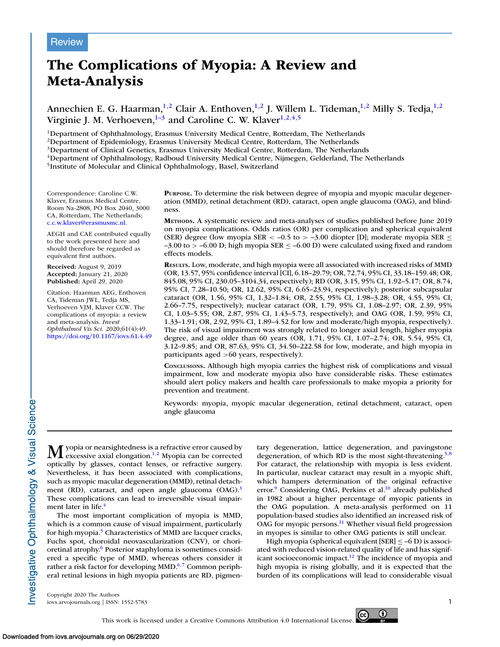# The Complications of Myopia: A Review and Meta-Analysis

Annechien E. G. Haarman, $^{1,2}$  Clair A. Enthoven, $^{1,2}$  J. Willem L. Tideman, $^{1,2}$  Milly S. Tedja, $^{1,2}$ Virginie J. M. Verhoeven, $1-\frac{3}{3}$  and Caroline C. W. Klaver $1,2,4,5$ 

<sup>1</sup>Department of Ophthalmology, Erasmus University Medical Centre, Rotterdam, The Netherlands

<sup>2</sup>Department of Epidemiology, Erasmus University Medical Centre, Rotterdam, The Netherlands

<sup>3</sup>Department of Clinical Genetics, Erasmus University Medical Centre, Rotterdam, The Netherlands

<sup>4</sup>Department of Ophthalmology, Radboud University Medical Centre, Nijmegen, Gelderland, The Netherlands

<sup>5</sup>Institute of Molecular and Clinical Ophthalmology, Basel, Switzerland

Correspondence: Caroline C.W. Klaver, Erasmus Medical Centre, Room Na-2808, PO Box 2040, 3000 CA, Rotterdam, The Netherlands; [c.c.w.klaver@erasmusmc.nl.](mailto:c.c.w.klaver@erasmusmc.nl)

AEGH and CAE contributed equally to the work presented here and should therefore be regarded as equivalent first authors.

Received: August 9, 2019 Accepted: January 21, 2020 Published: April 29, 2020

Citation: Haarman AEG, Enthoven CA, Tideman JWL, Tedja MS, Verhoeven VJM, Klaver CCW. The complications of myopia: a review and meta-analysis. Invest Ophthalmol Vis Sci. 2020;61(4):49. <https://doi.org/10.1167/iovs.61.4.49>

PURPOSE. To determine the risk between degree of myopia and myopic macular degeneration (MMD), retinal detachment (RD), cataract, open angle glaucoma (OAG), and blindness.

METHODS. A systematic review and meta-analyses of studies published before June 2019 on myopia complications. Odds ratios (OR) per complication and spherical equivalent (SER) degree (low myopia SER < -0.5 to > -3.00 diopter [D]; moderate myopia SER  $\leq$  $-3.00$  to  $> -6.00$  D; high myopia SER  $\leq -6.00$  D) were calculated using fixed and random effects models.

RESULTS. Low, moderate, and high myopia were all associated with increased risks of MMD (OR, 13.57, 95% confidence interval [CI], 6.18–29.79; OR, 72.74, 95% CI, 33.18–159.48; OR, 845.08, 95% CI, 230.05–3104.34, respectively); RD (OR, 3.15, 95% CI, 1.92–5.17; OR, 8.74, 95% CI, 7.28–10.50; OR, 12.62, 95% CI, 6.65–23.94, respectively); posterior subcapsular cataract (OR, 1.56, 95% CI, 1.32–1.84; OR, 2.55, 95% CI, 1.98–3.28; OR, 4.55, 95% CI, 2.66–7.75, respectively); nuclear cataract (OR, 1.79, 95% CI, 1.08–2.97; OR, 2.39, 95% CI, 1.03–5.55; OR, 2.87, 95% CI, 1.43–5.73, respectively); and OAG (OR, 1.59, 95% CI, 1.33–1.91; OR, 2.92, 95% CI, 1.89–4.52 for low and moderate/high myopia, respectively). The risk of visual impairment was strongly related to longer axial length, higher myopia degree, and age older than 60 years (OR, 1.71, 95% CI, 1.07–2.74; OR, 5.54, 95% CI, 3.12–9.85; and OR, 87.63, 95% CI, 34.50–222.58 for low, moderate, and high myopia in participants aged >60 years, respectively).

CONCLUSIONS. Although high myopia carries the highest risk of complications and visual impairment, low and moderate myopia also have considerable risks. These estimates should alert policy makers and health care professionals to make myopia a priority for prevention and treatment.

Keywords: myopia, myopic macular degeneration, retinal detachment, cataract, open angle glaucoma

**M** yopia or nearsightedness is a refractive error caused by excessive axial elongation.<sup>1,2</sup> Myopia can be corrected excessive axial elongation.<sup>[1,2](#page-15-0)</sup> Myopia can be corrected optically by glasses, contact lenses, or refractive surgery. Nevertheless, it has been associated with complications, such as myopic macular degeneration (MMD), retinal detachment (RD), cataract, and open angle glaucoma  $(OAG).$ <sup>[3](#page-15-0)</sup> These complications can lead to irreversible visual impair-ment later in life.<sup>[4](#page-15-0)</sup>

The most important complication of myopia is MMD, which is a common cause of visual impairment, particularly for high myopia.<sup>[5](#page-15-0)</sup> Characteristics of MMD are lacquer cracks, Fuchs spot, choroidal neovascularization (CNV), or chorioretinal atrophy.[6](#page-15-0) Posterior staphyloma is sometimes considered a specific type of MMD, whereas others consider it rather a risk factor for developing MMD. $6,7$  Common peripheral retinal lesions in high myopia patients are RD, pigmentary degeneration, lattice degeneration, and pavingstone degeneration, of which RD is the most sight-threatening.<sup>[5,8](#page-15-0)</sup> For cataract, the relationship with myopia is less evident. In particular, nuclear cataract may result in a myopic shift, which hampers determination of the original refractive error.<sup>[9](#page-15-0)</sup> Considering OAG, Perkins et al.<sup>[10](#page-15-0)</sup> already published in 1982 about a higher percentage of myopic patients in the OAG population. A meta-analysis performed on 11 population-based studies also identified an increased risk of OAG for myopic persons.<sup>[11](#page-15-0)</sup> Whether visual field progression in myopes is similar to other OAG patients is still unclear.

High myopia (spherical equivalent  $|SER| < -6 D$ ) is associ-ated with reduced vision-related quality of life and has significant socioeconomic impact. $^{12}$  $^{12}$  $^{12}$  The incidence of myopia and high myopia is rising globally, and it is expected that the burden of its complications will lead to considerable visual

Copyright 2020 The Authors iovs.arvojournals.org | ISSN: 1552-5783 1

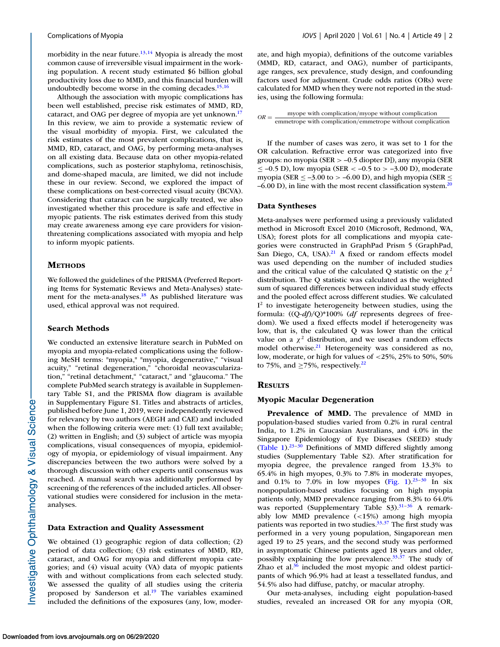morbidity in the near future.<sup>[13,14](#page-15-0)</sup> Myopia is already the most common cause of irreversible visual impairment in the working population. A recent study estimated \$6 billion global productivity loss due to MMD, and this financial burden will undoubtedly become worse in the coming decades. $15,16$ 

Although the association with myopic complications has been well established, precise risk estimates of MMD, RD, cataract, and OAG per degree of myopia are yet unknown.<sup>[17](#page-16-0)</sup> In this review, we aim to provide a systematic review of the visual morbidity of myopia. First, we calculated the risk estimates of the most prevalent complications, that is, MMD, RD, cataract, and OAG, by performing meta-analyses on all existing data. Because data on other myopia-related complications, such as posterior staphyloma, retinoschisis, and dome-shaped macula, are limited, we did not include these in our review. Second, we explored the impact of these complications on best-corrected visual acuity (BCVA). Considering that cataract can be surgically treated, we also investigated whether this procedure is safe and effective in myopic patients. The risk estimates derived from this study may create awareness among eye care providers for visionthreatening complications associated with myopia and help to inform myopic patients.

# **METHODS**

We followed the guidelines of the PRISMA (Preferred Reporting Items for Systematic Reviews and Meta-Analyses) state-ment for the meta-analyses.<sup>[18](#page-16-0)</sup> As published literature was used, ethical approval was not required.

# Search Methods

We conducted an extensive literature search in PubMed on myopia and myopia-related complications using the following MeSH terms: "myopia," "myopia, degenerative," "visual acuity," "retinal degeneration," "choroidal neovascularization," "retinal detachment," "cataract," and "glaucoma." The complete PubMed search strategy is available in Supplementary Table S1, and the PRISMA flow diagram is available in Supplementary Figure S1. Titles and abstracts of articles, published before June 1, 2019, were independently reviewed for relevancy by two authors (AEGH and CAE) and included when the following criteria were met: (1) full text available; (2) written in English; and (3) subject of article was myopia complications, visual consequences of myopia, epidemiology of myopia, or epidemiology of visual impairment. Any discrepancies between the two authors were solved by a thorough discussion with other experts until consensus was reached. A manual search was additionally performed by screening of the references of the included articles. All observational studies were considered for inclusion in the metaanalyses.

#### Data Extraction and Quality Assessment

We obtained (1) geographic region of data collection; (2) period of data collection; (3) risk estimates of MMD, RD, cataract, and OAG for myopia and different myopia categories; and (4) visual acuity (VA) data of myopic patients with and without complications from each selected study. We assessed the quality of all studies using the criteria proposed by Sanderson et al. $^{19}$  $^{19}$  $^{19}$  The variables examined included the definitions of the exposures (any, low, moderate, and high myopia), definitions of the outcome variables (MMD, RD, cataract, and OAG), number of participants, age ranges, sex prevalence, study design, and confounding factors used for adjustment. Crude odds ratios (ORs) were calculated for MMD when they were not reported in the studies, using the following formula:

| $OR =$ | myope with complication/myope without complication         |
|--------|------------------------------------------------------------|
|        | emmetrope with complication/emmetrope without complication |

If the number of cases was zero, it was set to 1 for the OR calculation. Refractive error was categorized into five groups: no myopia (SER > –0.5 diopter D]), any myopia (SER  $\le$  –0.5 D), low myopia (SER < –0.5 to > –3.00 D), moderate myopia (SER  $\le$  -3.00 to  $>$  -6.00 D), and high myopia (SER  $\le$  $-6.00$  D), in line with the most recent classification system.<sup>[20](#page-16-0)</sup>

#### Data Syntheses

Meta-analyses were performed using a previously validated method in Microsoft Excel 2010 (Microsoft, Redmond, WA, USA); forest plots for all complications and myopia categories were constructed in GraphPad Prism 5 (GraphPad, San Diego, CA, USA). $^{21}$  $^{21}$  $^{21}$  A fixed or random effects model was used depending on the number of included studies and the critical value of the calculated Q statistic on the  $\chi^2$ distribution. The Q statistic was calculated as the weighted sum of squared differences between individual study effects and the pooled effect across different studies. We calculated  $I<sup>2</sup>$  to investigate heterogeneity between studies, using the formula:  $((Q-df)/Q)*100%$  (df represents degrees of freedom). We used a fixed effects model if heterogeneity was low, that is, the calculated Q was lower than the critical value on a  $\chi^2$  distribution, and we used a random effects model otherwise.<sup>[21](#page-16-0)</sup> Heterogeneity was considered as no, low, moderate, or high for values of <25%, 25% to 50%, 50% to 75%, and  $\geq$ 75%, respectively.<sup>[22](#page-16-0)</sup>

#### **RESULTS**

#### Myopic Macular Degeneration

Prevalence of MMD. The prevalence of MMD in population-based studies varied from 0.2% in rural central India, to 1.2% in Caucasian Australians, and 4.0% in the Singapore Epidemiology of Eye Diseases (SEED) study [\(Table 1\)](#page-2-0).[23–30](#page-16-0) Definitions of MMD differed slightly among studies (Supplementary Table S2). After stratification for myopia degree, the prevalence ranged from 13.3% to 65.4% in high myopes, 0.3% to 7.8% in moderate myopes, and 0.1% to 7.0% in low myopes [\(Fig. 1\)](#page-3-0).<sup>[23–30](#page-16-0)</sup> In six nonpopulation-based studies focusing on high myopia patients only, MMD prevalence ranging from 8.3% to 64.0% was reported (Supplementary Table S3).<sup>31-36</sup> A remarkably low MMD prevalence (<15%) among high myopia patients was reported in two studies.<sup>[33,37](#page-16-0)</sup> The first study was performed in a very young population, Singaporean men aged 19 to 25 years, and the second study was performed in asymptomatic Chinese patients aged 18 years and older, possibly explaining the low prevalence. $33,37$  The study of Zhao et al. $36$  included the most myopic and oldest participants of which 96.9% had at least a tessellated fundus, and 54.5% also had diffuse, patchy, or macular atrophy.

Our meta-analyses, including eight population-based studies, revealed an increased OR for any myopia (OR,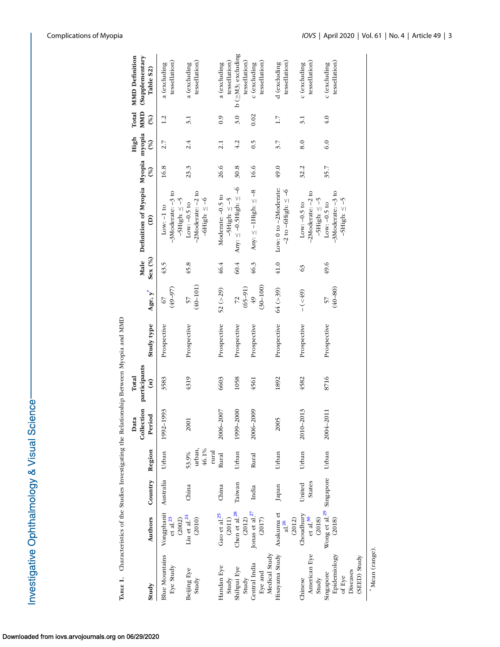<span id="page-2-0"></span>

| TABLE 1. Characteristics of the Studies Investigating the Relationship Between Myopia and MMD |                                                |                         |                                   |           |                                  |             |                        |        |                                                                  |               |                 |                     |                                             |
|-----------------------------------------------------------------------------------------------|------------------------------------------------|-------------------------|-----------------------------------|-----------|----------------------------------|-------------|------------------------|--------|------------------------------------------------------------------|---------------|-----------------|---------------------|---------------------------------------------|
|                                                                                               |                                                |                         |                                   | Data      | Collection participants<br>Total |             |                        | Male   | Definition of Myopia Myopia myopia                               |               | High            | <b>MMD</b><br>Total | <b>MMD</b> Definition<br>(Supplementary     |
| Study                                                                                         | <b>Authors</b>                                 | Country                 | Region                            | Period    | $\left( n\right)$                | Study type  | $Age, y^*$             | Sex(%) | ê                                                                | $\mathcal{E}$ | (%)             | (%)                 | Table S2)                                   |
| <b>Blue Mountains</b><br>Eye Study                                                            | Vongphanit<br>${\rm et\;al.}^{23}$<br>(2002)   | Australia               | Urban                             | 1992-1993 | 3583                             | Prospective | $(49 - 97)$<br>67      | 43.5   | $-3$ Moderate: $-3$ to<br>$-5$ High: $\le -5$<br>$Low: -1 to$    | 16.8          | 2.7             | 1.2                 | tessellation)<br>a (excluding               |
| Beijing Eye<br>Study                                                                          | Liu et al. $^{24}$<br>(2010)                   | China                   | urban,<br>46.1%<br>rural<br>53.9% | 2001      | 4319                             | Prospective | $(40 - 101)$<br>57     | 45.8   | $-2$ Moderate: $-2$ to<br>$-6$ High: $\leq -6$<br>Low: $-0.5$ to | 23.3          | 2.4             | 3.1                 | tessellation)<br>a (excluding               |
| Handan Eye<br>Study                                                                           | Gao et al. $25$<br>$\left( 2011\right)$        | China                   | Rural                             | 2006-2007 | 6603                             | Prospective | $52 (=29)$             | 46.4   | Moderate: -0.5 to<br>$-5$ High: $\leq -5$                        | 26.6          | 2.1             | 0.9                 | tessellation)<br>a (excluding               |
| Shihpai Eye<br>Study                                                                          | Chen et al. <sup>28</sup><br>(2012)            | Taiwan                  | Urban                             | 1999-2000 | 1058                             | Prospective | $\frac{72}{(65-91)}$   | 60.4   | Any: $\leq -0.5$ High: $\leq -6$                                 | 30.8          | 4.2             | 3.0                 | $b$ ( $\geq$ M3; excluding<br>tessellation) |
| Medical Study<br>Central India<br>Eye and                                                     | Jonas et al. $27$<br>(2017)                    | India                   | Rural                             | 2006-2009 | 4561                             | Prospective | $(30 - 100)$<br>$6\nu$ | 46.3   | Any: $\leq$ -1High: $\leq$ -8                                    | 16.6          | $\widetilde{0}$ | 0.02                | tessellation)<br>c (excluding               |
| Hisayama Study                                                                                | Asakuma et<br>(2012)<br>at.56                  | Japan                   | Urban                             | 2005      | 1892                             | Prospective | 64 (>39)               | $41.0$ | Low: 0 to -2Moderate:<br>$-2$ to $-6$ High: $\le -6$             | 49.0          | 3.7             | 1.7                 | tessellation)<br>d (excluding               |
| American Eye<br>Chinese<br>Study                                                              | Choudhury<br>${\rm et\; al\; ^{30}}$<br>(2018) | <b>States</b><br>United | Urban                             | 2010-2013 | 4582                             | Prospective | $-(55) -$              | 63     | $-2$ Moderate: $-2$ to<br>$-5$ High: $\le -5$<br>Low: $-0.5$ to  | 32.2          | 8.0             | 3.1                 | tessellation)<br>c (excluding               |
| Epidemiology<br>(SEED) Study<br>Diseases<br>Singapore<br>of Eye                               | Wong et al. <sup>29</sup> Singapore<br>(2018)  |                         | Urban                             | 2004-2011 | 8716                             | Prospective | $(40 - 80)$<br>57      | 49.6   | $-3$ Moderate: $-3$ to<br>$-5$ High: $\le -5$<br>Low: $-0.5$ to  | 35.7          | 6.0             | 4.0                 | tessellation)<br>c (excluding               |
| Mean (range).                                                                                 |                                                |                         |                                   |           |                                  |             |                        |        |                                                                  |               |                 |                     |                                             |

Downloaded from iovs.arvojournals.org on 06/29/2020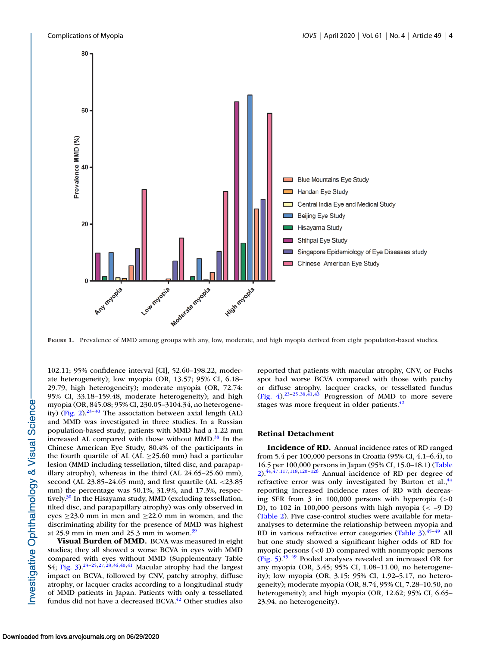<span id="page-3-0"></span>

FIGURE 1. Prevalence of MMD among groups with any, low, moderate, and high myopia derived from eight population-based studies.

102.11; 95% confidence interval [CI], 52.60–198.22, moderate heterogeneity); low myopia (OR, 13.57; 95% CI, 6.18– 29.79, high heterogeneity); moderate myopia (OR, 72.74; 95% CI, 33.18–159.48, moderate heterogeneity); and high myopia (OR, 845.08; 95% CI, 230.05–3104.34, no heterogeneity) [\(Fig. 2\)](#page-4-0).[23–30](#page-16-0) The association between axial length (AL) and MMD was investigated in three studies. In a Russian population-based study, patients with MMD had a 1.22 mm increased AL compared with those without  $MMD<sup>38</sup>$  $MMD<sup>38</sup>$  $MMD<sup>38</sup>$  In the Chinese American Eye Study, 80.4% of the participants in the fourth quartile of AL (AL  $\geq$ 25.60 mm) had a particular lesion (MMD including tessellation, tilted disc, and parapapillary atrophy), whereas in the third (AL 24.65–25.60 mm), second (AL 23.85–24.65 mm), and first quartile (AL <23.85 mm) the percentage was 50.1%, 31.9%, and 17.3%, respectively. $30$  In the Hisayama study, MMD (excluding tessellation, tilted disc, and parapapillary atrophy) was only observed in eyes  $\geq$ 23.0 mm in men and  $\geq$ 22.0 mm in women, and the discriminating ability for the presence of MMD was highest at 25.9 mm in men and 25.3 mm in women. $39$ 

Visual Burden of MMD. BCVA was measured in eight studies; they all showed a worse BCVA in eyes with MMD compared with eyes without MMD (Supplementary Table S4; [Fig. 3\)](#page-5-0).<sup>[23–25,27,28,36,40,41](#page-16-0)</sup> Macular atrophy had the largest impact on BCVA, followed by CNV, patchy atrophy, diffuse atrophy, or lacquer cracks according to a longitudinal study of MMD patients in Japan. Patients with only a tessellated fundus did not have a decreased BCVA.<sup>[42](#page-16-0)</sup> Other studies also

reported that patients with macular atrophy, CNV, or Fuchs spot had worse BCVA compared with those with patchy or diffuse atrophy, lacquer cracks, or tessellated fundus [\(Fig. 4\)](#page-5-0).<sup>23-25,36,41,43</sup> Progression of MMD to more severe stages was more frequent in older patients.<sup>[42](#page-16-0)</sup>

# Retinal Detachment

Incidence of RD. Annual incidence rates of RD ranged from 5.4 per 100,000 persons in Croatia (95% CI, 4.1–6.4), to [16.5 per 100,000 persons in Japan \(95% CI, 15.0–18.1\) \(Table](#page-6-0) 2). $44,47,117,118,120-126$  $44,47,117,118,120-126$  Annual incidence of RD per degree of refractive error was only investigated by Burton et al., $44$ reporting increased incidence rates of RD with decreasing SER from 3 in 100,000 persons with hyperopia (>0 D), to 102 in 100,000 persons with high myopia  $(< -9$  D) [\(Table 2\)](#page-6-0). Five case-control studies were available for metaanalyses to determine the relationship between myopia and RD in various refractive error categories (Table  $3$ ).<sup>[45–49](#page-16-0)</sup> All but one study showed a significant higher odds of RD for myopic persons  $( $0 \text{ D}$ ) compared with nonmyopic persons$ [\(Fig. 5\)](#page-7-0). $45-49$  Pooled analyses revealed an increased OR for any myopia (OR, 3.45; 95% CI, 1.08–11.00, no heterogeneity); low myopia (OR, 3.15; 95% CI, 1.92–5.17, no heterogeneity); moderate myopia (OR, 8.74, 95% CI, 7.28–10.50, no heterogeneity); and high myopia (OR, 12.62; 95% CI, 6.65– 23.94, no heterogeneity).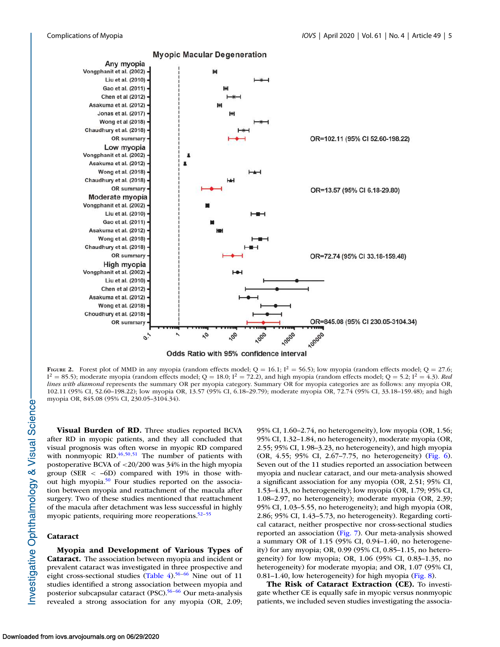<span id="page-4-0"></span>

**Myopic Macular Degeneration** 



FIGURE 2. Forest plot of MMD in any myopia (random effects model;  $Q = 16.1$ ;  $I^2 = 56.5$ ); low myopia (random effects model;  $Q = 27.6$ ;  $I^2 = 85.5$ ); moderate myopia (random effects model; Q = 18.0;  $I^2 = 72.2$ ), and high myopia (random effects model; Q = 5.2;  $I^2 = 4.3$ ). Red lines with diamond represents the summary OR per myopia category. Summary OR for myopia categories are as follows: any myopia OR, 102.11 (95% CI, 52.60–198.22); low myopia OR, 13.57 (95% CI, 6.18–29.79); moderate myopia OR, 72.74 (95% CI, 33.18–159.48); and high myopia OR, 845.08 (95% CI, 230.05–3104.34).

Visual Burden of RD. Three studies reported BCVA after RD in myopic patients, and they all concluded that visual prognosis was often worse in myopic RD compared with nonmyopic RD. $46,50,51$  The number of patients with postoperative BCVA of <20/200 was 34% in the high myopia group (SER  $\langle$  -6D) compared with 19% in those with-out high myopia.<sup>[50](#page-16-0)</sup> Four studies reported on the association between myopia and reattachment of the macula after surgery. Two of these studies mentioned that reattachment of the macula after detachment was less successful in highly myopic patients, requiring more reoperations.<sup>52-55</sup>

#### Cataract

Myopia and Development of Various Types of Cataract. The association between myopia and incident or prevalent cataract was investigated in three prospective and eight cross-sectional studies [\(Table 4\)](#page-8-0).<sup>56-66</sup> Nine out of 11 studies identified a strong association between myopia and posterior subcapsular cataract (PSC).<sup>56-66</sup> Our meta-analysis revealed a strong association for any myopia (OR, 2.09; 95% CI, 1.60–2.74, no heterogeneity), low myopia (OR, 1.56; 95% CI, 1.32–1.84, no heterogeneity), moderate myopia (OR, 2.55; 95% CI, 1.98–3.23, no heterogeneity), and high myopia (OR, 4.55; 95% CI, 2.67–7.75, no heterogeneity) [\(Fig. 6\)](#page-11-0). Seven out of the 11 studies reported an association between myopia and nuclear cataract, and our meta-analysis showed a significant association for any myopia (OR, 2.51; 95% CI, 1.53–4.13, no heterogeneity); low myopia (OR, 1.79; 95% CI, 1.08–2.97, no heterogeneity); moderate myopia (OR, 2.39; 95% CI, 1.03–5.55, no heterogeneity); and high myopia (OR, 2.86; 95% CI, 1.43–5.73, no heterogeneity). Regarding cortical cataract, neither prospective nor cross-sectional studies reported an association [\(Fig. 7\)](#page-12-0). Our meta-analysis showed a summary OR of 1.15 (95% CI, 0.94–1.40, no heterogeneity) for any myopia; OR, 0.99 (95% CI, 0.85–1.15, no heterogeneity) for low myopia; OR, 1.06 (95% CI, 0.83–1.35, no heterogeneity) for moderate myopia; and OR, 1.07 (95% CI, 0.81–1.40, low heterogeneity) for high myopia [\(Fig. 8\)](#page-13-0).

The Risk of Cataract Extraction (CE). To investigate whether CE is equally safe in myopic versus nonmyopic patients, we included seven studies investigating the associa-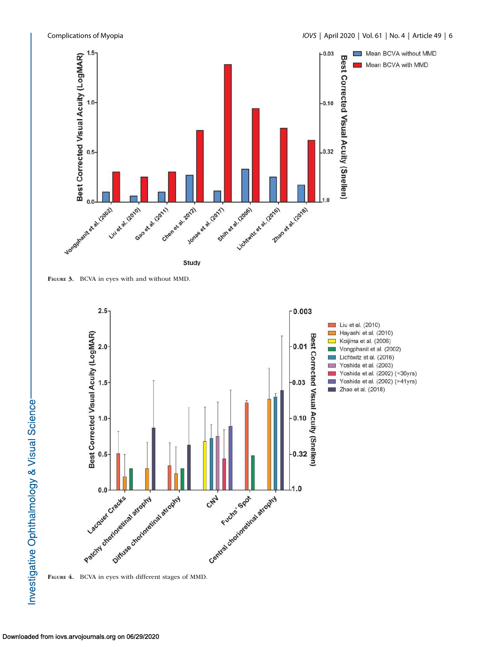<span id="page-5-0"></span>



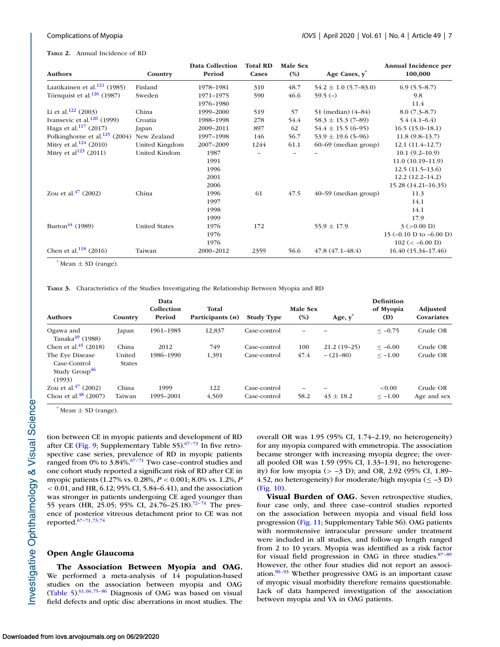#### <span id="page-6-0"></span>TABLE 2. Annual Incidence of RD

| <b>Authors</b>                     | Country              | <b>Data Collection</b><br>Period | <b>Total RD</b><br>Cases | Male Sex<br>$(\%)$ | Age Cases, y <sup>*</sup> | Annual Incidence per<br>100,000 |
|------------------------------------|----------------------|----------------------------------|--------------------------|--------------------|---------------------------|---------------------------------|
| Laatikainen et al. $121$ (1985)    | Finland              | 1978-1981                        | 310                      | 48.7               | $54.2 \pm 1.0$ (5.7–83.0) | $6.9(5.5-8.7)$                  |
| Törnquist et al. $126$ (1987)      | Sweden               | 1971-1975                        | 590                      | 46.6               | $59.5(-)$                 | 9.8                             |
|                                    |                      | 1976-1980                        |                          |                    |                           | 11.4                            |
| Li et al. <sup>122</sup> (2003)    | China                | 1999-2000                        | 519                      | 57                 | 51 (median) (4–84)        | $8.0(7.3-8.7)$                  |
| Ivansevic et al. $120$ (1999)      | Croatia              | 1988-1998                        | 278                      | 54.4               | $58.3 \pm 15.3$ (7-89)    | $5.4(4.1-6.4)$                  |
| Haga et al. <sup>117</sup> (2017)  | Japan                | 2009-2011                        | 897                      | 62                 | $54.4 \pm 15.5$ (6-95)    | $16.5(15.0-18.1)$               |
| Polkinghorne et al. $125$ (2004)   | New Zealand          | 1997-1998                        | 146                      | 56.7               | $53.9 \pm 19.6$ (5-96)    | $11.8(9.8-13.7)$                |
| Mitry et al. <sup>124</sup> (2010) | United Kingdom       | 2007-2009                        | 1244                     | 61.1               | 60–69 (median group)      | $12.1(11.4-12.7)$               |
| Mitry et al <sup>123</sup> (2011)  | United Kindom        | 1987                             |                          |                    |                           | $10.1(9.2-10.9)$                |
|                                    |                      | 1991                             |                          |                    |                           | $11.0(10.19-11.9)$              |
|                                    |                      | 1996                             |                          |                    |                           | $12.5(11.5-13.6)$               |
|                                    |                      | 2001                             |                          |                    |                           | $12.2(12.2 - 14.2)$             |
|                                    |                      | 2006                             |                          |                    |                           | 15.28 (14.21-16.35)             |
| Zou et al. $47$ (2002)             | China                | 1996                             | 61                       | 47.5               | $40-59$ (median group)    | 11.3                            |
|                                    |                      | 1997                             |                          |                    |                           | 14.1                            |
|                                    |                      | 1998                             |                          |                    |                           | 14.1                            |
|                                    |                      | 1999                             |                          |                    |                           | 17.9                            |
| Burton <sup>44</sup> (1989)        | <b>United States</b> | 1976                             | 172                      |                    | $55.9 \pm 17.9$           | 3 (>0.00 D)                     |
|                                    |                      | 1976                             |                          |                    |                           | 15 (-0.10 D to -6.00 D)         |
|                                    |                      | 1976                             |                          |                    |                           | $102 (< -6.00 D)$               |
| Chen et al. <sup>118</sup> (2016)  | Taiwan               | 2000-2012                        | 2359                     | 56.6               | $47.8(47.1 - 48.4)$       | 16.40 (15.34–17.46)             |

 $*$  Mean  $\pm$  SD (range).

TABLE 3. Characteristics of the Studies Investigating the Relationship Between Myopia and RD

| <b>Authors</b>                                                         | Country                 | Data<br>Collection<br>Period | Total<br>Participants $(n)$ | <b>Study Type</b> | Male Sex<br>$(\%)$ | Age, y        | <b>Definition</b><br>of Myopia<br>(D) | <b>Adjusted</b><br>Covariates |
|------------------------------------------------------------------------|-------------------------|------------------------------|-----------------------------|-------------------|--------------------|---------------|---------------------------------------|-------------------------------|
| Ogawa and<br>Tanaka $49$ (1988)                                        | Japan                   | 1961-1985                    | 12,837                      | Case-control      | -                  |               | $<-0.75$                              | Crude OR                      |
| Chen et al. <sup>45</sup> (2018)                                       | China                   | 2012                         | 749                         | Case-control      | 100                | $21.2(19-25)$ | $\leq -6.00$                          | Crude OR                      |
| The Eye Disease<br>Case-Control<br>Study Group <sup>46</sup><br>(1993) | United<br><b>States</b> | 1986-1990                    | 1,391                       | Case-control      | 47.4               | $- (21 - 80)$ | $\le -1.00$                           | Crude OR                      |
| Zou et al. $47$ (2002)                                                 | China                   | 1999                         | 122                         | Case-control      |                    |               | ${<}0.00$                             | Crude OR                      |
| Chou et al. $48$ (2007)                                                | Taiwan                  | 1995-2001                    | 4,569                       | Case-control      | 58.2               | $43 \pm 18.2$ | $\leq -1.00$                          | Age and sex                   |

 $*$  Mean  $\pm$  SD (range).

tion between CE in myopic patients and development of RD after CE [\(Fig. 9;](#page-13-0) Supplementary Table  $S5$ ).<sup>[67–73](#page-17-0)</sup> In five retrospective case series, prevalence of RD in myopic patients ranged from 0% to 3.84%.<sup>67-71</sup> Two case-control studies and one cohort study reported a significant risk of RD after CE in myopic patients (1.27% vs. 0.28%, P < 0.001; 8.0% vs. 1.2%, P  $< 0.01$ , and HR, 6.12; 95% CI, 5.84–6.41), and the association was stronger in patients undergoing CE aged younger than 55 years (HR, 25.05; 95% CI, 24.76–25.18).<sup>[72–74](#page-17-0)</sup> The presence of posterior vitreous detachment prior to CE was not reported. $67-71,73,74$ 

### Open Angle Glaucoma

The Association Between Myopia and OAG. We performed a meta-analysis of 14 population-based studies on the association between myopia and OAG [\(Table 5\)](#page-9-0). $61,66,75-86$  Diagnosis of OAG was based on visual field defects and optic disc aberrations in most studies. The overall OR was 1.95 (95% CI, 1.74–2.19, no heterogeneity) for any myopia compared with emmetropia. The association became stronger with increasing myopia degree; the overall pooled OR was 1.59 (95% CI, 1.33–1.91, no heterogeneity) for low myopia (> –3 D); and OR, 2.92 (95% CI, 1.89– 4.52, no heterogeneity) for moderate/high myopia ( $\leq -3$  D) [\(Fig. 10\)](#page-14-0).

Visual Burden of OAG. Seven retrospective studies, four case only, and three case–control studies reported on the association between myopia and visual field loss progression [\(Fig. 11;](#page-14-0) Supplementary Table S6). OAG patients with normotensive intraocular pressure under treatment were included in all studies, and follow-up length ranged from 2 to 10 years. Myopia was identified as a risk factor for visual field progression in OAG in three studies. $87-89$ However, the other four studies did not report an association. $90-93$  Whether progressive OAG is an important cause of myopic visual morbidity therefore remains questionable. Lack of data hampered investigation of the association between myopia and VA in OAG patients.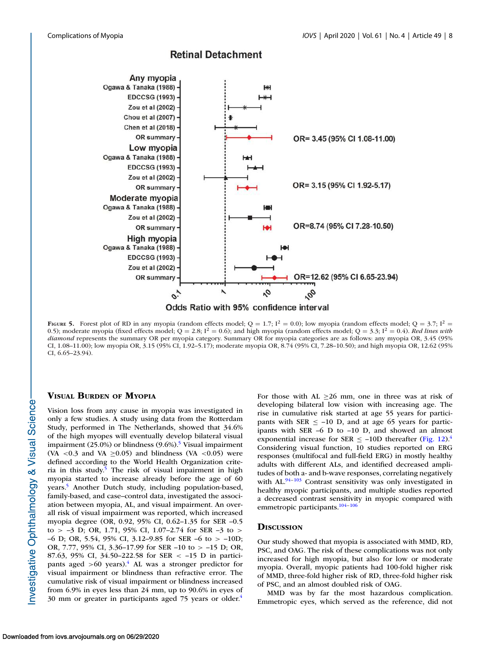<span id="page-7-0"></span>

# **Retinal Detachment**

FIGURE 5. Forest plot of RD in any myopia (random effects model;  $Q = 1.7$ ;  $I^2 = 0.0$ ); low myopia (random effects model;  $Q = 3.7$ ;  $I^2 = 0.0$ ); 0.5); moderate myopia (fixed effects model;  $Q = 2.8$ ;  $I^2 = 0.6$ ); and high myopia (random effects model;  $Q = 3.3$ ;  $I^2 = 0.4$ ). Red lines with diamond represents the summary OR per myopia category. Summary OR for myopia categories are as follows: any myopia OR, 3.45 (95%) CI, 1.08–11.00); low myopia OR, 3.15 (95% CI, 1.92–5.17); moderate myopia OR, 8.74 (95% CI, 7.28–10.50); and high myopia OR, 12.62 (95% CI, 6.65–23.94).

### VISUAL BURDEN OF MYOPIA

Vision loss from any cause in myopia was investigated in only a few studies. A study using data from the Rotterdam Study, performed in The Netherlands, showed that 34.6% of the high myopes will eventually develop bilateral visual impairment (2[5](#page-15-0).0%) or blindness (9.6%).<sup>5</sup> Visual impairment (VA <0.3 and VA  $\geq$ 0.05) and blindness (VA <0.05) were defined according to the World Health Organization crite-ria in this study.<sup>[5](#page-15-0)</sup> The risk of visual impairment in high myopia started to increase already before the age of 60 years.[5](#page-15-0) Another Dutch study, including population-based, family-based, and case–control data, investigated the association between myopia, AL, and visual impairment. An overall risk of visual impairment was reported, which increased myopia degree (OR, 0.92, 95% CI, 0.62–1.35 for SER –0.5 to >  $-3$  D; OR, 1.71, 95% CI, 1.07 $-2.74$  for SER  $-3$  to > –6 D; OR, 5.54, 95% CI, 3.12–9.85 for SER –6 to > –10D; OR, 7.77, 95% CI, 3.36–17.99 for SER –10 to > –15 D; OR, 87.63, 95% CI, 34.50–222.58 for SER < –15 D in participants aged  $>60$  years).<sup>[4](#page-15-0)</sup> AL was a stronger predictor for visual impairment or blindness than refractive error. The cumulative risk of visual impairment or blindness increased from 6.9% in eyes less than 24 mm, up to 90.6% in eyes of 30 mm or greater in participants aged 75 years or older.[4](#page-15-0)

For those with AL  $\geq 26$  mm, one in three was at risk of developing bilateral low vision with increasing age. The rise in cumulative risk started at age 55 years for participants with SER  $\le$  -10 D, and at age 65 years for participants with SER –6 D to –10 D, and showed an almost exponential increase for SER  $\le$  -10D thereafter [\(Fig. 12\)](#page-15-0).<sup>[4](#page-15-0)</sup> Considering visual function, 10 studies reported on ERG responses (multifocal and full-field ERG) in mostly healthy adults with different ALs, and identified decreased amplitudes of both a- and b-wave responses, correlating negatively with  $AL^{94-103}$  Contrast sensitivity was only investigated in healthy myopic participants, and multiple studies reported a decreased contrast sensitivity in myopic compared with emmetropic participants.<sup>104-106</sup>

# **DISCUSSION**

Our study showed that myopia is associated with MMD, RD, PSC, and OAG. The risk of these complications was not only increased for high myopia, but also for low or moderate myopia. Overall, myopic patients had 100-fold higher risk of MMD, three-fold higher risk of RD, three-fold higher risk of PSC, and an almost doubled risk of OAG.

MMD was by far the most hazardous complication. Emmetropic eyes, which served as the reference, did not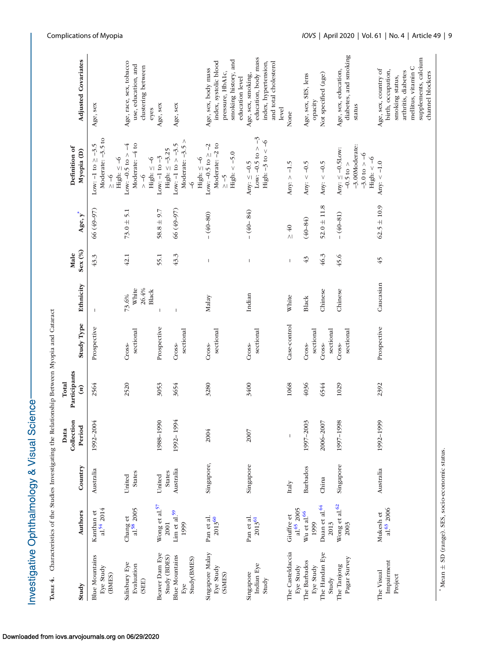<span id="page-8-0"></span>

| Тавье 4.                                                       | Characteristics of the Studies Investigating the Relationship Between Myopia and Cataract |                                      |                              |                                     |                                    |                                  |                 |                                |                                                                                                                   |                                                                                                                                                         |
|----------------------------------------------------------------|-------------------------------------------------------------------------------------------|--------------------------------------|------------------------------|-------------------------------------|------------------------------------|----------------------------------|-----------------|--------------------------------|-------------------------------------------------------------------------------------------------------------------|---------------------------------------------------------------------------------------------------------------------------------------------------------|
| Study                                                          | <b>Authors</b>                                                                            | Country                              | Collection<br>Period<br>Data | Participants<br>Total<br>$\epsilon$ | Study Type                         | Ethnicity                        | Sex (%)<br>Male | $Age, y^*$                     | Definition of<br>Myopia (D)                                                                                       | <b>Adjusted Covariates</b>                                                                                                                              |
| <b>Blue Mountains</b><br>Eye Study<br>(BMES)                   | $a!^{54} 2014$<br>Kanthan et                                                              | Australia                            | 1992-2004                    | 2564                                | Prospective                        | $\mathsf{I}$                     | 43.3            | 66 (49-97)                     | Moderate: -3.5 to<br>Low: -1 to $\geq$ -3.5<br>High: $\leq -6$<br>$\frac{6}{10}$                                  | Age, sex                                                                                                                                                |
| Salisbury Eye<br>Evaluation<br>(SEE)                           | al.58 2005<br>Chang et                                                                    | <b>States</b><br>United              |                              | 2520                                | sectional<br>Cross-                | 26.4%<br>White<br>Black<br>73.6% | $42.1\,$        | $73.0 \pm 5.1$                 | Moderate: -4 to<br>$\downarrow$<br>Low: $-0.5$ to $>$<br>$\frac{6}{1}$                                            | Age, race, sex, tobacco<br>use, education, and<br>clustering between                                                                                    |
| Beaver Dam Eye<br><b>Blue Mountains</b><br>Study (BDES)<br>Eye | Wong et al. <sup>57</sup><br>$\rm{Lim}$ et al.<br>$^{59}$<br>2001<br>1999                 | Australia<br><b>States</b><br>United | 1988-1990<br>1992-1994       | 3053<br>3654                        | Prospective<br>sectional<br>Cross- | J.                               | 43.3<br>55.1    | 66 (49-97)<br>$58.8 \pm 9.7$   | Moderate: $-3.5$ ><br>Low: $-1$ to $> -3.5$<br>High: $\leq$ –3.25<br>Low: $-1$ to $-3$<br>High: $\leq -6$         | Age, sex<br>Age, sex<br>eyes                                                                                                                            |
| Singapore Malay<br>Study(BMES)<br>Eye Study<br>(SiMES)         | Pan et al.<br>2013 <sup>60</sup>                                                          | Singapore,                           | 2004                         | 3280                                | sectional<br>Cross-                | Malay                            | $\mathsf I$     | $- (40 - 80)$                  | Moderate: -2 to<br>Low: $-0.5$ to $\ge -2$<br>High: $< -5.0$<br>High: $\leq -6$<br>$\zeta$ - $\zeta$<br>$\varphi$ | smoking history, and<br>index, systolic blood<br>Age, sex, body mass<br>pressure, HbA1c,                                                                |
| Indian Eye<br>Singapore<br>Study                               | Pan et al.<br>$2013^{61}$                                                                 | Singapore                            | 2007                         | 3400                                | sectional<br>Cross-                | Indian                           | $\mathsf{I}$    | $- (40 - 84)$                  | Low: $-0.5$ to $> -3$<br>High: $-3$ to $<-6$<br>Any: $\leq -0.5$                                                  | education, body mass<br>index, hypertension,<br>and total cholesterol<br>Age, sex, smoking,<br>education level                                          |
| The Casteldaccia<br>Eye Study                                  | al. <sup>65</sup> 2005<br>Giuffre et                                                      | Italy                                | $\mathsf I$                  | 1068                                | Case-control                       | White                            | $\mathbf{I}$    | $\geq 40$                      | Any: $> -1.5$                                                                                                     | level<br>None                                                                                                                                           |
| The Handan Eye<br>The Barbados<br>Eye Study                    | Duan et al. <sup>64</sup><br>Wu et al. <sup>66</sup><br>1999                              | <b>Barbados</b><br>China             | 1997-2003<br>2006-2007       | 4036<br>6544                        | sectional<br>Cross-<br>Cross-      | Chinese<br>Black                 | 46.3<br>43      | $52.0 \pm 11.8$<br>$(40 - 84)$ | Any: $<-0.5$<br>Any: $<-0.5$                                                                                      | Not specified (age)<br>Age, sex, SES, lens<br>opacity                                                                                                   |
| Pagar Survey<br>The Tanjong<br>Study                           | Wong et al. <sup>62</sup><br>2013<br>2003                                                 | Singapore                            | 1997-1998                    | 1029                                | sectional<br>sectional<br>Cross-   | Chinese                          | 45.6            | $-(40-81)$                     | -3.00Moderate:<br>Any: $\leq -0.5$ Low:<br>$-3.0 \text{ to } > -6$<br>$-0.5$ to $>$                               | diabetes, and smoking<br>Age, sex, education,<br>status                                                                                                 |
| Impairment<br>The Visual<br>Project                            | al. <sup>63</sup> 2006<br>Mukesh et                                                       | Australia                            | 1992-1999                    | 2392                                | Prospective                        | Caucasian                        | 45              | $62.5 \pm 10.9$                | High: $<$ -6<br>Any: $<-1.0$                                                                                      | supplements, calcium<br>mellitus, vitamin C<br>Age, sex, country of<br>birth, occupation,<br>arthritis, diabetes<br>channel blockers<br>smoking status, |

\* Mean  $^+$ SD (range). SES, socio-economic status.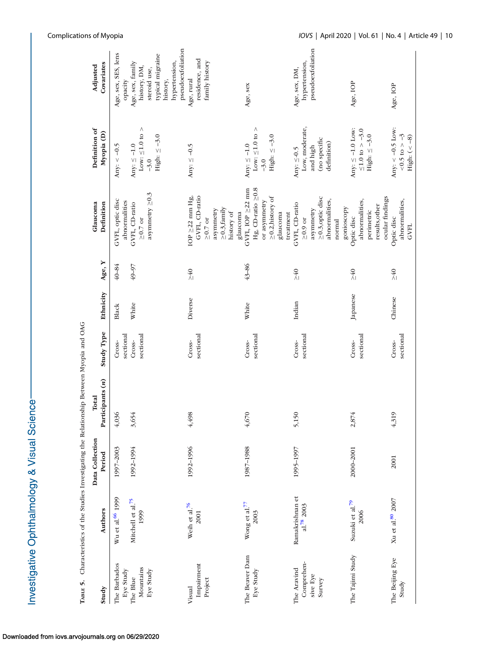<span id="page-9-0"></span>

| TABLE 5.                                        | Characteristics of the Studies Investigating the Relationship Between Myopia and OAG |                           |                           |                     |           |                 |                                                                                                                       |                                                                               |                                                                                                                        |
|-------------------------------------------------|--------------------------------------------------------------------------------------|---------------------------|---------------------------|---------------------|-----------|-----------------|-----------------------------------------------------------------------------------------------------------------------|-------------------------------------------------------------------------------|------------------------------------------------------------------------------------------------------------------------|
| Study                                           | <b>Authors</b>                                                                       | Data Collection<br>Period | Participants (n)<br>Total | <b>Study Type</b>   | Ethnicity | Age, Y          | Definition<br>Glaucoma                                                                                                | Definition of<br>Myopia (D)                                                   | Covariates<br>Adjusted                                                                                                 |
| The Barbados<br>Eye Study                       | Wu et al. <sup>66</sup> 1999                                                         | 1997-2003                 | 4,036                     | sectional<br>Cross- | Black     | $40 - 84$       | GVFL, optic disc<br>abnormalities                                                                                     | Any: $<-0.5$                                                                  | Age, sex, SES, lens<br>opacity                                                                                         |
| Mountains<br>Eye Study<br>The Blue              | Mitchell et al. <sup>75</sup><br>1999                                                | 1992-1994                 | 3,654                     | sectional<br>Cross- | White     | 49-97           | asymmetry $\geq 0.3$<br>GVFL, CD-ratio<br>$\geq 0.7$ or                                                               | Low: $\leq 1.0$ to ><br>High: $\leq -3.0$<br>Any: $\leq -1.0$<br>$-3.0$       | pseudoexfoliation<br>typical migraine<br>hypertension,<br>Age, sex, family<br>history, DM,<br>steroid use,<br>history, |
| Impairment<br>Project<br>Visual                 | Weih et al. $^{76}$<br>2001                                                          | 1992-1996                 | 4,498                     | sectional<br>Cross- | Diverse   | $\geq 40$       | GVFL, CD-ratio<br>IOP $\geq$ 22 mm Hg,<br>$\geq 0.3$ , family<br>asymmetry<br>history of<br>glaucoma<br>$\geq 0.7$ or | Any: $\leq -0.5$                                                              | residence, and<br>family history<br>Age, rural                                                                         |
| The Beaver Dam<br>Eye Study                     | Wong et al. $^{77}$<br>2003                                                          | 1987-1988                 | 4,670                     | sectional<br>Cross- | White     | $43 - 86$       | GVFL, IOP $\geq$ 22 mm<br>Hg, CD-ratio $\geq 0.8$<br>$\geq$ 0.2, history of<br>or asymmetry<br>glaucoma<br>treatment  | Low: ${\leq}1.0$ to ${>}$<br>High: $\leq -3.0$<br>Any: $\leq -1.0$<br>$-3.0$  | Age, sex                                                                                                               |
| Comprehen-<br>The Aravind<br>sive Eye<br>Survey | Ramakrishnan et<br>a1.782003                                                         | 1995-1997                 | 5,150                     | sectional<br>Cross- | Indian    | $\geq 40$       | $\geq$ 0.3, optic disc<br>abnormalities,<br>GVFL, CD-ratio<br>asymmetry<br>$\geq 0.9$ or<br>normal                    | Low, moderate,<br>(no specific<br>definition)<br>and high<br>Any: $\leq -0.5$ | pseudoexfoliation<br>hypertension,<br>Age, sex, DM,                                                                    |
| The Tajimi Study                                | Suzuki et al. <sup>79</sup><br>2006                                                  | 2000-2001                 | 2,874                     | sectional<br>Cross- | Japanese  | $\frac{1}{240}$ | ocular findings<br>abnormalities,<br>results, other<br>gonioscopy<br>perimetric<br>Optic disc                         | Any: $\leq -1.0$ Low:<br>$≤1.0$ to $> −3.0$<br>High: $\leq -3.0$              | Age, IOP                                                                                                               |
| The Beijing Eye<br>Study                        | Xu et al. $^{80}$ 2007                                                               | 2001                      | 4,319                     | sectional<br>Cross- | Chinese   | $\geq 40$       | abnormalities,<br>Optic disc<br><b>GVFL</b>                                                                           | Any: $<-0.5$ Low:<br>$< 0.5$ to $> -3$<br>High: $(<$ 8)                       | Age, IOP                                                                                                               |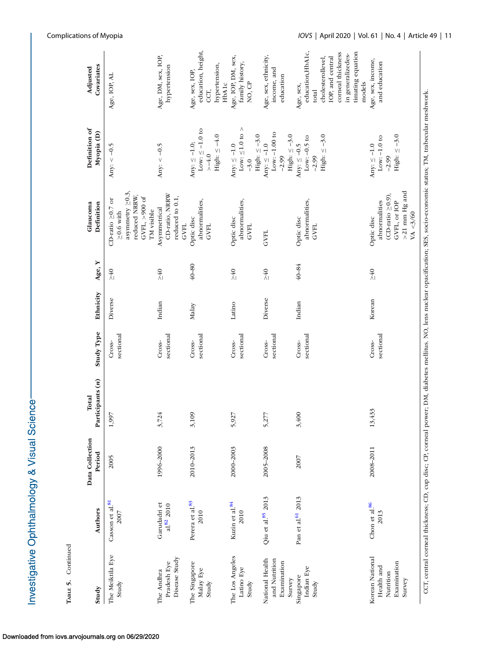| Study                                                               | <b>Authors</b>                      | Data Collection<br>Period | Participants (n)<br>Total | <b>Study Type</b>   | Ethnicity | Age, Y    | Definition<br>Glaucoma                                                                                                  | Definition of<br>Myopia (D)                                               | Covariates<br>Adjusted                                                                                                                                    |
|---------------------------------------------------------------------|-------------------------------------|---------------------------|---------------------------|---------------------|-----------|-----------|-------------------------------------------------------------------------------------------------------------------------|---------------------------------------------------------------------------|-----------------------------------------------------------------------------------------------------------------------------------------------------------|
| The Meiktila Eye<br>Study                                           | Casson et al. <sup>81</sup><br>2007 | 2005                      | 1,997                     | sectional<br>Cross- | Diverse   | $\geq 40$ | asymmetry $\geq 0.3$ ,<br>reduced NRRW,<br>GVFL, ${>}900$ of<br>CD-ratio $\geq$ 0.7 or<br>TM visible<br>$\geq$ 0.6 with | Any: $<-0.5$                                                              | Age, IOP, AL                                                                                                                                              |
| Disease Study<br>Pradesh Eye<br>The Andhra                          | Garudadri et<br>$a!^{82}$ 2010      | 1996-2000                 | 3,724                     | sectional<br>Cross- | Indian    | $\geq 40$ | CD-ratio, NRRW<br>reduced to 0.1,<br>Asymmetrical<br><b>GVFL</b>                                                        | Any: $<-0.5$                                                              | Age, DM, sex, IOP,<br>hypertension                                                                                                                        |
| The Singapore<br>Malay Eye<br>Study                                 | Perera et al.83<br>2010             | 2010-2013                 | 3,109                     | sectional<br>Cross- | Malay     | $40 - 80$ | abnormalities,<br>Optic disc<br><b>GVFL</b>                                                                             | Low: $\leq -1.0$ to<br>High: $\leq -4.0$<br>Any: $\le -1.0$ ;<br>$> -4.0$ | education, height,<br>hypertension,<br>Age, sex, IOP,<br>HbA1c<br>CCT,                                                                                    |
| The Los Angeles<br>Latino Eye<br>Study                              | Kuzin et al. <sup>84</sup><br>2010  | 2000-2003                 | 5,927                     | sectional<br>Cross- | Latino    | $\geq 40$ | abnormalities,<br>Optic disc<br><b>GVFL</b>                                                                             | Low: $\leq 1.0$ to ><br>High: $\leq -3.0$<br>Any: $\leq -1.0$<br>$-3.0$   | Age, IOP, DM, sex,<br>family history,<br>NO, CP                                                                                                           |
| National Health<br>and Nutrition<br>Examination<br>Survey           | Qiu et al. <sup>85</sup> 2013       | 2005-2008                 | 5,277                     | sectional<br>Cross- | Diverse   | $\geq 40$ | <b>GVFL</b>                                                                                                             | Low: $-1.00$ to<br>High: $\leq -3.0$<br>Any: $\leq$ –1.0<br>$-2.99$       | Age, sex, ethnicity,<br>income, and<br>education                                                                                                          |
| Indian Eye<br>Singapore<br>Study                                    | Pan et al. <sup>61</sup> 2013       | 2007                      | 3,400                     | sectional<br>Cross- | Indian    | 40-84     | abnormalities,<br>Optic disc<br>GVFL                                                                                    | High: $\leq -3.0$<br>Low: $-0.5$ to<br>Any: $\leq -0.5$<br>$-2.99$        | education, HbA1c,<br>timating equation<br>corneal thickness<br>in generalizedes-<br>IOP, and central<br>cholesterollevel,<br>models<br>Age, sex,<br>total |
| Korean National<br>Examination<br>Health and<br>Nutrition<br>Survey | Chon et al. $86$<br>2013            | 2008-2011                 | 13,433                    | sectional<br>Cross- | Korean    | $\geq 40$ | $>21$ mm Hg and<br>$(D-ratio \geq 0.9)$<br>abnormalities<br>GVFL, or IOP<br>VA < 3/60<br>Optic disc                     | High: $\leq -3.0$<br>Low: $-1.0$ to<br>Any: $\leq -1.0$<br>$-2.99$        | Age, sex, income,<br>and education                                                                                                                        |

CCT, central corneal thickness; CD, cup disc; CP, corneal power; DM, diabetes mellitus. NO, lens nuclear opacification; SES, socio-economic status; TM, trabecular meshwork.

TABLE 5. Continued

TABLE 5. Continued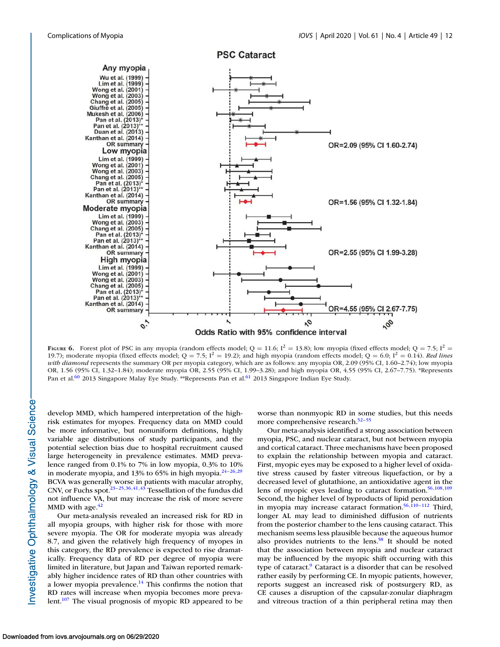<span id="page-11-0"></span>

FIGURE 6. Forest plot of PSC in any myopia (random effects model;  $Q = 11.6$ ;  $I^2 = 13.8$ ); low myopia (fixed effects model;  $Q = 7.5$ ;  $I^2 =$ 19.7); moderate myopia (fixed effects model;  $Q = 7.5$ ;  $I^2 = 19.2$ ); and high myopia (random effects model;  $Q = 6.0$ ;  $I^2 = 0.14$ ). Red lines with diamond represents the summary OR per myopia category, which are as follows: any myopia OR, 2.09 (95% CI, 1.60-2.74); low myopia OR, 1.56 (95% CI, 1.32–1.84); moderate myopia OR, 2.55 (95% CI, 1.99–3.28); and high myopia OR, 4.55 (95% CI, 2.67–7.75). \*Represents Pan et al.<sup>[60](#page-17-0)</sup> 2013 Singapore Malay Eye Study. \*\*Represents Pan et al.<sup>[61](#page-17-0)</sup> 2013 Singapore Indian Eye Study.

develop MMD, which hampered interpretation of the highrisk estimates for myopes. Frequency data on MMD could be more informative, but nonuniform definitions, highly variable age distributions of study participants, and the potential selection bias due to hospital recruitment caused large heterogeneity in prevalence estimates. MMD prevalence ranged from 0.1% to 7% in low myopia, 0.3% to 10% in moderate myopia, and 13% to 65% in high myopia.[24–26,29](#page-16-0) BCVA was generally worse in patients with macular atrophy, CNV, or Fuchs spot.<sup>23-25,36,41,43</sup> Tessellation of the fundus did not influence VA, but may increase the risk of more severe MMD with age. $42$ 

Our meta-analysis revealed an increased risk for RD in all myopia groups, with higher risk for those with more severe myopia. The OR for moderate myopia was already 8.7, and given the relatively high frequency of myopes in this category, the RD prevalence is expected to rise dramatically. Frequency data of RD per degree of myopia were limited in literature, but Japan and Taiwan reported remarkably higher incidence rates of RD than other countries with a lower myopia prevalence.<sup>[14](#page-15-0)</sup> This confirms the notion that RD rates will increase when myopia becomes more prevalent.[107](#page-18-0) The visual prognosis of myopic RD appeared to be

worse than nonmyopic RD in some studies, but this needs more comprehensive research.<sup>52-55</sup>

Our meta-analysis identified a strong association between myopia, PSC, and nuclear cataract, but not between myopia and cortical cataract. Three mechanisms have been proposed to explain the relationship between myopia and cataract. First, myopic eyes may be exposed to a higher level of oxidative stress caused by faster vitreous liquefaction, or by a decreased level of glutathione, an antioxidative agent in the lens of myopic eyes leading to cataract formation.<sup>[56](#page-17-0)[,108,109](#page-18-0)</sup> Second, the higher level of byproducts of lipid peroxidation in myopia may increase cataract formation.<sup>[56,](#page-17-0)110-112</sup> Third, longer AL may lead to diminished diffusion of nutrients from the posterior chamber to the lens causing cataract. This mechanism seems less plausible because the aqueous humor also provides nutrients to the lens. $58$  It should be noted that the association between myopia and nuclear cataract may be influenced by the myopic shift occurring with this type of cataract.<sup>[9](#page-15-0)</sup> Cataract is a disorder that can be resolved rather easily by performing CE. In myopic patients, however, reports suggest an increased risk of postsurgery RD, as CE causes a disruption of the capsular-zonular diaphragm and vitreous traction of a thin peripheral retina may then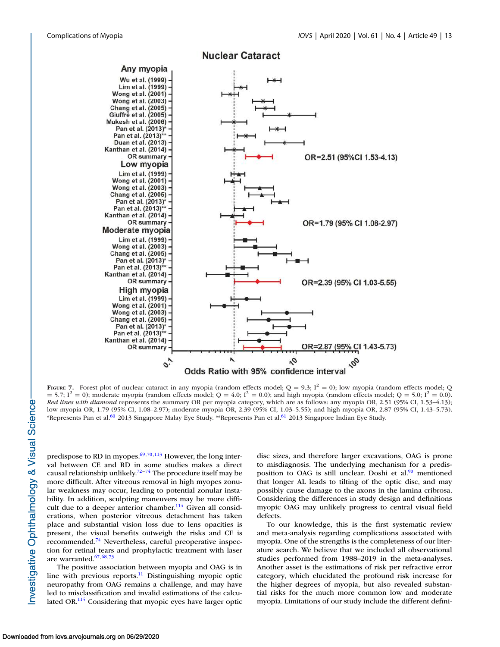<span id="page-12-0"></span>

**Nuclear Cataract** 

FIGURE 7. Forest plot of nuclear cataract in any myopia (random effects model;  $Q = 9.3$ ;  $I^2 = 0$ ); low myopia (random effects model; Q  $= 5.7$ ;  $I^2 = 0$ ; moderate myopia (random effects model; Q = 4.0;  $I^2 = 0.0$ ); and high myopia (random effects model; Q = 5.0;  $I^2 = 0.0$ ). Red lines with diamond represents the summary OR per myopia category, which are as follows: any myopia OR, 2.51 (95% CI, 1.53–4.13); low myopia OR, 1.79 (95% CI, 1.08–2.97); moderate myopia OR, 2.39 (95% CI, 1.03–5.55); and high myopia OR, 2.87 (95% CI, 1.43–5.73). \*Represents Pan et al.<sup>[60](#page-17-0)</sup> 2013 Singapore Malay Eye Study. \*\*Represents Pan et al.<sup>[61](#page-17-0)</sup> 2013 Singapore Indian Eye Study.

predispose to RD in myopes. $69,70,113$  $69,70,113$  However, the long interval between CE and RD in some studies makes a direct causal relationship unlikely.<sup>[72–74](#page-17-0)</sup> The procedure itself may be more difficult. After vitreous removal in high myopes zonular weakness may occur, leading to potential zonular instability. In addition, sculpting maneuvers may be more diffi-cult due to a deeper anterior chamber.<sup>[114](#page-18-0)</sup> Given all considerations, when posterior vitreous detachment has taken place and substantial vision loss due to lens opacities is present, the visual benefits outweigh the risks and CE is recommended.[74](#page-17-0) Nevertheless, careful preoperative inspection for retinal tears and prophylactic treatment with laser are warranted.[67,68,73](#page-17-0)

The positive association between myopia and OAG is in line with previous reports. $11$  Distinguishing myopic optic neuropathy from OAG remains a challenge, and may have led to misclassification and invalid estimations of the calculated OR.[115](#page-18-0) Considering that myopic eyes have larger optic disc sizes, and therefore larger excavations, OAG is prone to misdiagnosis. The underlying mechanism for a predis-position to OAG is still unclear. Doshi et al.<sup>[90](#page-17-0)</sup> mentioned that longer AL leads to tilting of the optic disc, and may possibly cause damage to the axons in the lamina cribrosa. Considering the differences in study design and definitions myopic OAG may unlikely progress to central visual field defects.

To our knowledge, this is the first systematic review and meta-analysis regarding complications associated with myopia. One of the strengths is the completeness of our literature search. We believe that we included all observational studies performed from 1988–2019 in the meta-analyses. Another asset is the estimations of risk per refractive error category, which elucidated the profound risk increase for the higher degrees of myopia, but also revealed substantial risks for the much more common low and moderate myopia. Limitations of our study include the different defini-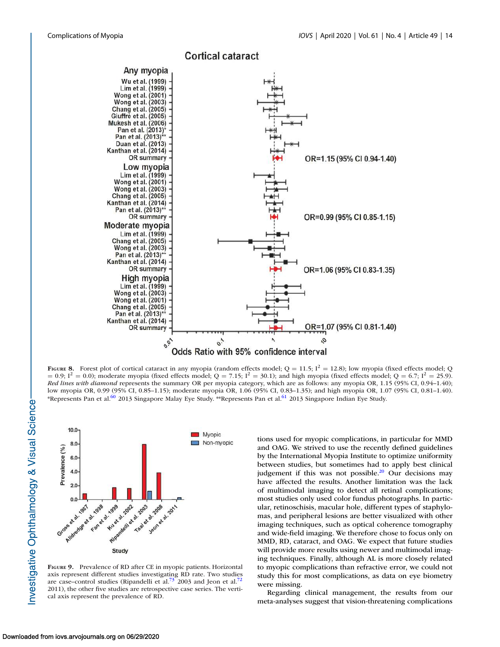<span id="page-13-0"></span>

FIGURE 8. Forest plot of cortical cataract in any myopia (random effects model;  $Q = 11.5$ ;  $I^2 = 12.8$ ); low myopia (fixed effects model; Q  $= 0.9$ ;  $I^2 = 0.0$ ); moderate myopia (fixed effects model; Q = 7.15;  $I^2 = 30.1$ ); and high myopia (fixed effects model; Q = 6.7;  $I^2 = 25.9$ ). Red lines with diamond represents the summary OR per myopia category, which are as follows: any myopia OR, 1.15 (95% CI, 0.94–1.40); low myopia OR, 0.99 (95% CI, 0.85–1.15); moderate myopia OR, 1.06 (95% CI, 0.83–1.35); and high myopia OR, 1.07 (95% CI, 0.81–1.40). \*Represents Pan et al.<sup>[60](#page-17-0)</sup> 2013 Singapore Malay Eye Study. \*\*Represents Pan et al.<sup>[61](#page-17-0)</sup> 2013 Singapore Indian Eye Study.



FIGURE 9. Prevalence of RD after CE in myopic patients. Horizontal axis represent different studies investigating RD rate. Two studies are case–control studies (Ripandelli et al.<sup>[72](#page-17-0)</sup> 2003 and Jeon et al.<sup>72</sup> 2011), the other five studies are retrospective case series. The vertical axis represent the prevalence of RD.

tions used for myopic complications, in particular for MMD and OAG. We strived to use the recently defined guidelines by the International Myopia Institute to optimize uniformity between studies, but sometimes had to apply best clinical judgement if this was not possible.[20](#page-16-0) Our decisions may have affected the results. Another limitation was the lack of multimodal imaging to detect all retinal complications; most studies only used color fundus photographs. In particular, retinoschisis, macular hole, different types of staphylomas, and peripheral lesions are better visualized with other imaging techniques, such as optical coherence tomography and wide-field imaging. We therefore chose to focus only on MMD, RD, cataract, and OAG. We expect that future studies will provide more results using newer and multimodal imaging techniques. Finally, although AL is more closely related to myopic complications than refractive error, we could not study this for most complications, as data on eye biometry were missing.

Regarding clinical management, the results from our meta-analyses suggest that vision-threatening complications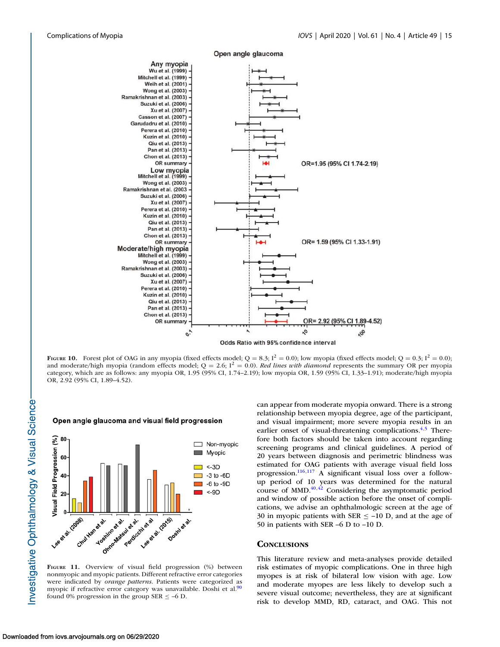<span id="page-14-0"></span>

Open angle glaucoma

FIGURE 10. Forest plot of OAG in any myopia (fixed effects model;  $Q = 8.3$ ;  $I^2 = 0.0$ ); low myopia (fixed effects model;  $Q = 0.3$ ;  $I^2 = 0.0$ ); and moderate/high myopia (random effects model;  $Q = 2.6$ ;  $I^2 = 0.0$ ). Red lines with diamond represents the summary OR per myopia category, which are as follows: any myopia OR, 1.95 (95% CI, 1.74–2.19); low myopia OR, 1.59 (95% CI, 1.33–1.91); moderate/high myopia OR, 2.92 (95% CI, 1.89–4.52).



FIGURE 11. Overview of visual field progression (%) between nonmyopic and myopic patients. Different refractive error categories were indicated by orange patterns. Patients were categorized as myopic if refractive error category was unavailable. Doshi et al.<sup>[90](#page-17-0)</sup> found 0% progression in the group SER  $\le$  -6 D.

can appear from moderate myopia onward. There is a strong relationship between myopia degree, age of the participant, and visual impairment; more severe myopia results in an earlier onset of visual-threatening complications. $4,5$  Therefore both factors should be taken into account regarding screening programs and clinical guidelines. A period of 20 years between diagnosis and perimetric blindness was estimated for OAG patients with average visual field loss progression.[116,117](#page-18-0) A significant visual loss over a followup period of 10 years was determined for the natural course of MMD.[40,42](#page-16-0) Considering the asymptomatic period and window of possible action before the onset of complications, we advise an ophthalmologic screen at the age of 30 in myopic patients with SER  $\le$  -10 D, and at the age of 50 in patients with SER –6 D to –10 D.

#### **CONCLUSIONS**

This literature review and meta-analyses provide detailed risk estimates of myopic complications. One in three high myopes is at risk of bilateral low vision with age. Low and moderate myopes are less likely to develop such a severe visual outcome; nevertheless, they are at significant risk to develop MMD, RD, cataract, and OAG. This not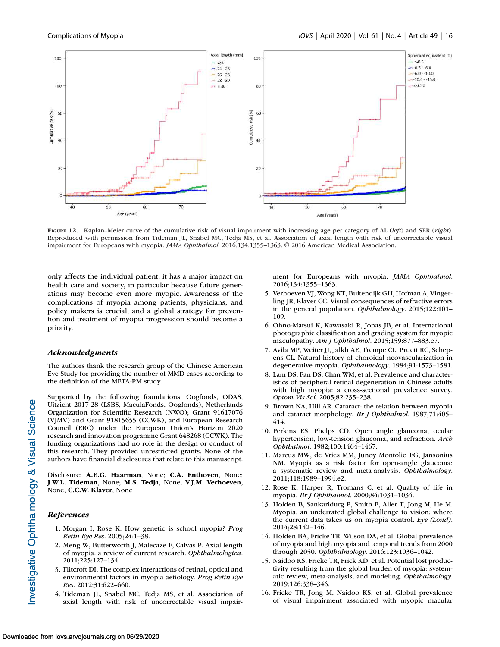<span id="page-15-0"></span>

FIGURE 12. Kaplan–Meier curve of the cumulative risk of visual impairment with increasing age per category of AL (left) and SER (right). Reproduced with permission from Tideman JL, Snabel MC, Tedja MS, et al. Association of axial length with risk of uncorrectable visual impairment for Europeans with myopia. JAMA Ophthalmol. 2016;134:1355-1363. © 2016 American Medical Association.

only affects the individual patient, it has a major impact on health care and society, in particular because future generations may become even more myopic. Awareness of the complications of myopia among patients, physicians, and policy makers is crucial, and a global strategy for prevention and treatment of myopia progression should become a priority.

#### Acknowledgments

The authors thank the research group of the Chinese American Eye Study for providing the number of MMD cases according to the definition of the META-PM study.

Supported by the following foundations: Oogfonds, ODAS, Uitzicht 2017-28 (LSBS, MaculaFonds, Oogfonds), Netherlands Organization for Scientific Research (NWO); Grant 91617076 (VJMV) and Grant 91815655 (CCWK), and European Research Council (ERC) under the European Union's Horizon 2020 research and innovation programme Grant 648268 (CCWK). The funding organizations had no role in the design or conduct of this research. They provided unrestricted grants. None of the authors have financial disclosures that relate to this manuscript.

Disclosure: A.E.G. Haarman, None; C.A. Enthoven, None; J.W.L. Tideman, None; M.S. Tedja, None; V.J.M. Verhoeven, None; C.C.W. Klaver, None

# References

- 1. Morgan I, Rose K. How genetic is school myopia? Prog Retin Eye Res. 2005;24:1–38.
- 2. Meng W, Butterworth J, Malecaze F, Calvas P. Axial length of myopia: a review of current research. Ophthalmologica. 2011;225:127–134.
- 3. Flitcroft DI. The complex interactions of retinal, optical and environmental factors in myopia aetiology. Prog Retin Eye Res. 2012;31:622–660.
- 4. Tideman JL, Snabel MC, Tedja MS, et al. Association of axial length with risk of uncorrectable visual impair-

ment for Europeans with myopia. JAMA Ophthalmol. 2016;134:1355–1363.

- 5. Verhoeven VJ, Wong KT, Buitendijk GH, Hofman A, Vingerling JR, Klaver CC. Visual consequences of refractive errors in the general population. Ophthalmology. 2015;122:101– 109.
- 6. Ohno-Matsui K, Kawasaki R, Jonas JB, et al. International photographic classification and grading system for myopic maculopathy. Am J Ophthalmol. 2015;159:877-883.e7.
- 7. Avila MP, Weiter JJ, Jalkh AE, Trempe CL, Pruett RC, Schepens CL. Natural history of choroidal neovascularization in degenerative myopia. Ophthalmology. 1984;91:1573–1581.
- 8. Lam DS, Fan DS, Chan WM, et al. Prevalence and characteristics of peripheral retinal degeneration in Chinese adults with high myopia: a cross-sectional prevalence survey. Optom Vis Sci. 2005;82:235–238.
- 9. Brown NA, Hill AR. Cataract: the relation between myopia and cataract morphology. Br J Ophthalmol. 1987;71:405– 414.
- 10. Perkins ES, Phelps CD. Open angle glaucoma, ocular hypertension, low-tension glaucoma, and refraction. Arch Ophthalmol. 1982;100:1464–1467.
- 11. Marcus MW, de Vries MM, Junoy Montolio FG, Jansonius NM. Myopia as a risk factor for open-angle glaucoma: a systematic review and meta-analysis. Ophthalmology. 2011;118:1989–1994.e2.
- 12. Rose K, Harper R, Tromans C, et al. Quality of life in myopia. Br J Ophthalmol. 2000;84:1031–1034.
- 13. Holden B, Sankaridurg P, Smith E, Aller T, Jong M, He M. Myopia, an underrated global challenge to vision: where the current data takes us on myopia control. Eye (Lond). 2014;28:142–146.
- 14. Holden BA, Fricke TR, Wilson DA, et al. Global prevalence of myopia and high myopia and temporal trends from 2000 through 2050. Ophthalmology. 2016;123:1036–1042.
- 15. Naidoo KS, Fricke TR, Frick KD, et al. Potential lost productivity resulting from the global burden of myopia: systematic review, meta-analysis, and modeling. Ophthalmology. 2019;126:338–346.
- 16. Fricke TR, Jong M, Naidoo KS, et al. Global prevalence of visual impairment associated with myopic macular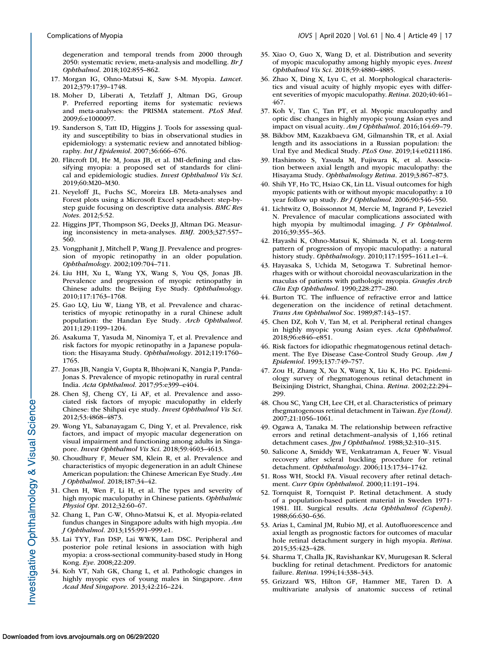- 17. Morgan IG, Ohno-Matsui K, Saw S-M. Myopia. Lancet. 2012;379:1739–1748.
- 18. Moher D, Liberati A, Tetzlaff J, Altman DG, Group P. Preferred reporting items for systematic reviews and meta-analyses: the PRISMA statement. PLoS Med. 2009;6:e1000097.
- 19. Sanderson S, Tatt ID, Higgins J. Tools for assessing quality and susceptibility to bias in observational studies in epidemiology: a systematic review and annotated bibliography. Int J Epidemiol. 2007;36:666–676.
- 20. Flitcroft DI, He M, Jonas JB, et al. IMI-defining and classifying myopia: a proposed set of standards for clinical and epidemiologic studies. Invest Ophthalmol Vis Sci. 2019;60:M20–M30.
- 21. Neyeloff JL, Fuchs SC, Moreira LB. Meta-analyses and Forest plots using a Microsoft Excel spreadsheet: step-bystep guide focusing on descriptive data analysis. BMC Res Notes. 2012;5:52.
- 22. Higgins JPT, Thompson SG, Deeks JJ, Altman DG. Measuring inconsistency in meta-analyses. BMJ. 2003;327:557– 560.
- 23. Vongphanit J, Mitchell P, Wang JJ. Prevalence and progression of myopic retinopathy in an older population. Ophthalmology. 2002;109:704–711.
- 24. Liu HH, Xu L, Wang YX, Wang S, You QS, Jonas JB. Prevalence and progression of myopic retinopathy in Chinese adults: the Beijing Eye Study. Ophthalmology. 2010;117:1763–1768.
- 25. Gao LQ, Liu W, Liang YB, et al. Prevalence and characteristics of myopic retinopathy in a rural Chinese adult population: the Handan Eye Study. Arch Ophthalmol. 2011;129:1199–1204.
- 26. Asakuma T, Yasuda M, Ninomiya T, et al. Prevalence and risk factors for myopic retinopathy in a Japanese population: the Hisayama Study. Ophthalmology. 2012;119:1760– 1765.
- 27. Jonas JB, Nangia V, Gupta R, Bhojwani K, Nangia P, Panda-Jonas S. Prevalence of myopic retinopathy in rural central India. Acta Ophthalmol. 2017;95:e399–e404.
- 28. Chen SJ, Cheng CY, Li AF, et al. Prevalence and associated risk factors of myopic maculopathy in elderly Chinese: the Shihpai eye study. Invest Ophthalmol Vis Sci. 2012;53:4868–4873.
- 29. Wong YL, Sabanayagam C, Ding Y, et al. Prevalence, risk factors, and impact of myopic macular degeneration on visual impairment and functioning among adults in Singapore. Invest Ophthalmol Vis Sci. 2018;59:4603–4613.
- 30. Choudhury F, Meuer SM, Klein R, et al. Prevalence and characteristics of myopic degeneration in an adult Chinese American population: the Chinese American Eye Study. Am J Ophthalmol. 2018;187:34–42.
- 31. Chen H, Wen F, Li H, et al. The types and severity of high myopic maculopathy in Chinese patients. Ophthalmic Physiol Opt. 2012;32:60–67.
- 32. Chang L, Pan C-W, Ohno-Matsui K, et al. Myopia-related fundus changes in Singapore adults with high myopia. Am J Ophthalmol. 2013;155:991–999.e1.
- 33. Lai TYY, Fan DSP, Lai WWK, Lam DSC. Peripheral and posterior pole retinal lesions in association with high myopia: a cross-sectional community-based study in Hong Kong. Eye. 2008;22:209.
- 34. Koh VT, Nah GK, Chang L, et al. Pathologic changes in highly myopic eyes of young males in Singapore. Ann Acad Med Singapore. 2013;42:216–224.
- <span id="page-16-0"></span>Complications of Myopia **IOVS** | April 2020 | Vol. 61 | No. 4 | Article 49 | 17
	- 35. Xiao O, Guo X, Wang D, et al. Distribution and severity of myopic maculopathy among highly myopic eyes. Invest Ophthalmol Vis Sci. 2018;59:4880–4885.
	- 36. Zhao X, Ding X, Lyu C, et al. Morphological characteristics and visual acuity of highly myopic eyes with different severities of myopic maculopathy. Retina. 2020;40:461– 467.
	- 37. Koh V, Tan C, Tan PT, et al. Myopic maculopathy and optic disc changes in highly myopic young Asian eyes and impact on visual acuity. Am J Ophthalmol. 2016;164:69-79.
	- 38. Bikbov MM, Kazakbaeva GM, Gilmanshin TR, et al. Axial length and its associations in a Russian population: the Ural Eye and Medical Study. PLoS One. 2019;14:e0211186.
	- 39. Hashimoto S, Yasuda M, Fujiwara K, et al. Association between axial length and myopic maculopathy: the Hisayama Study. Ophthalmology Retina. 2019;3:867–873.
	- 40. Shih YF, Ho TC, Hsiao CK, Lin LL. Visual outcomes for high myopic patients with or without myopic maculopathy: a 10 year follow up study. Br J Ophthalmol. 2006;90:546–550.
	- 41. Lichtwitz O, Boissonnot M, Mercie M, Ingrand P, Leveziel N. Prevalence of macular complications associated with high myopia by multimodal imaging. J Fr Ophtalmol. 2016;39:355–363.
	- 42. Hayashi K, Ohno-Matsui K, Shimada N, et al. Long-term pattern of progression of myopic maculopathy: a natural history study. Ophthalmology. 2010;117:1595–1611.e1–4.
	- 43. Hayasaka S, Uchida M, Setogawa T. Subretinal hemorrhages with or without choroidal neovascularization in the maculas of patients with pathologic myopia. Graefes Arch Clin Exp Ophthalmol. 1990;228:277–280.
	- 44. Burton TC. The influence of refractive error and lattice degeneration on the incidence of retinal detachment. Trans Am Ophthalmol Soc. 1989;87:143–157.
	- 45. Chen DZ, Koh V, Tan M, et al. Peripheral retinal changes in highly myopic young Asian eyes. Acta Ophthalmol. 2018;96:e846–e851.
	- 46. Risk factors for idiopathic rhegmatogenous retinal detachment. The Eye Disease Case-Control Study Group. Am J Epidemiol. 1993;137:749–757.
	- 47. Zou H, Zhang X, Xu X, Wang X, Liu K, Ho PC. Epidemiology survey of rhegmatogenous retinal detachment in Beixinjing District, Shanghai, China. Retina. 2002;22:294– 299.
	- 48. Chou SC, Yang CH, Lee CH, et al. Characteristics of primary rhegmatogenous retinal detachment in Taiwan. Eye (Lond). 2007;21:1056–1061.
	- 49. Ogawa A, Tanaka M. The relationship between refractive errors and retinal detachment–analysis of 1,166 retinal detachment cases. Jpn J Ophthalmol. 1988;32:310-315.
	- 50. Salicone A, Smiddy WE, Venkatraman A, Feuer W. Visual recovery after scleral buckling procedure for retinal detachment. Ophthalmology. 2006;113:1734–1742.
	- 51. Ross WH, Stockl FA. Visual recovery after retinal detachment. Curr Opin Ophthalmol. 2000;11:191–194.
	- 52. Tornquist R, Tornquist P. Retinal detachment. A study of a population-based patient material in Sweden 1971- 1981. III. Surgical results. Acta Ophthalmol (Copenh). 1988;66:630–636.
	- 53. Arias L, Caminal JM, Rubio MJ, et al. Autofluorescence and axial length as prognostic factors for outcomes of macular hole retinal detachment surgery in high myopia. Retina. 2015;35:423–428.
	- 54. Sharma T, Challa JK, Ravishankar KV, Murugesan R. Scleral buckling for retinal detachment. Predictors for anatomic failure. Retina. 1994;14:338–343.
	- 55. Grizzard WS, Hilton GF, Hammer ME, Taren D. A multivariate analysis of anatomic success of retinal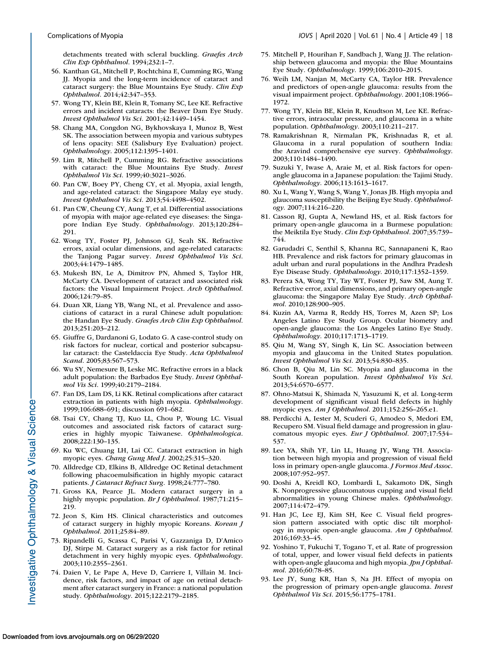<span id="page-17-0"></span>detachments treated with scleral buckling. Graefes Arch Clin Exp Ophthalmol. 1994;232:1–7.

- 56. Kanthan GL, Mitchell P, Rochtchina E, Cumming RG, Wang JJ. Myopia and the long-term incidence of cataract and cataract surgery: the Blue Mountains Eye Study. Clin Exp Ophthalmol. 2014;42:347–353.
- 57. Wong TY, Klein BE, Klein R, Tomany SC, Lee KE. Refractive errors and incident cataracts: the Beaver Dam Eye Study. Invest Ophthalmol Vis Sci. 2001;42:1449–1454.
- 58. Chang MA, Congdon NG, Bykhovskaya I, Munoz B, West SK. The association between myopia and various subtypes of lens opacity: SEE (Salisbury Eye Evaluation) project. Ophthalmology. 2005;112:1395–1401.
- 59. Lim R, Mitchell P, Cumming RG. Refractive associations with cataract: the Blue Mountains Eye Study. Invest Ophthalmol Vis Sci. 1999;40:3021–3026.
- 60. Pan CW, Boey PY, Cheng CY, et al. Myopia, axial length, and age-related cataract: the Singapore Malay eye study. Invest Ophthalmol Vis Sci. 2013;54:4498–4502.
- 61. Pan CW, Cheung CY, Aung T, et al. Differential associations of myopia with major age-related eye diseases: the Singapore Indian Eye Study. Ophthalmology. 2013;120:284– 291.
- 62. Wong TY, Foster PJ, Johnson GJ, Seah SK. Refractive errors, axial ocular dimensions, and age-related cataracts: the Tanjong Pagar survey. Invest Ophthalmol Vis Sci. 2003;44:1479–1485.
- 63. Mukesh BN, Le A, Dimitrov PN, Ahmed S, Taylor HR, McCarty CA. Development of cataract and associated risk factors: the Visual Impairment Project. Arch Ophthalmol. 2006;124:79–85.
- 64. Duan XR, Liang YB, Wang NL, et al. Prevalence and associations of cataract in a rural Chinese adult population: the Handan Eye Study. Graefes Arch Clin Exp Ophthalmol. 2013;251:203–212.
- 65. Giuffre G, Dardanoni G, Lodato G. A case-control study on risk factors for nuclear, cortical and posterior subcapsular cataract: the Casteldaccia Eye Study. Acta Ophthalmol Scand. 2005;83:567–573.
- 66. Wu SY, Nemesure B, Leske MC. Refractive errors in a black adult population: the Barbados Eye Study. Invest Ophthalmol Vis Sci. 1999;40:2179–2184.
- 67. Fan DS, Lam DS, Li KK. Retinal complications after cataract extraction in patients with high myopia. Ophthalmology. 1999;106:688–691; discussion 691–682.
- 68. Tsai CY, Chang TJ, Kuo LL, Chou P, Woung LC. Visual outcomes and associated risk factors of cataract surgeries in highly myopic Taiwanese. Ophthalmologica. 2008;222:130–135.
- 69. Ku WC, Chuang LH, Lai CC. Cataract extraction in high myopic eyes. Chang Gung Med J. 2002;25:315–320.
- 70. Alldredge CD, Elkins B, Alldredge OC Retinal detachment following phacoemulsification in highly myopic cataract patients. J Cataract Refract Surg. 1998;24:777–780.
- 71. Gross KA, Pearce JL. Modern cataract surgery in a highly myopic population. Br J Ophthalmol. 1987;71:215-219.
- 72. Jeon S, Kim HS. Clinical characteristics and outcomes of cataract surgery in highly myopic Koreans. Korean J Ophthalmol. 2011;25:84–89.
- 73. Ripandelli G, Scassa C, Parisi V, Gazzaniga D, D'Amico DJ, Stirpe M. Cataract surgery as a risk factor for retinal detachment in very highly myopic eyes. Ophthalmology. 2003;110:2355–2361.
- 74. Daien V, Le Pape A, Heve D, Carriere I, Villain M. Incidence, risk factors, and impact of age on retinal detachment after cataract surgery in France: a national population study. Ophthalmology. 2015;122:2179–2185.
- 75. Mitchell P, Hourihan F, Sandbach J, Wang JJ. The relationship between glaucoma and myopia: the Blue Mountains Eye Study. Ophthalmology. 1999;106:2010–2015.
- 76. Weih LM, Nanjan M, McCarty CA, Taylor HR. Prevalence and predictors of open-angle glaucoma: results from the visual impairment project. Ophthalmology. 2001;108:1966-1972.
- 77. Wong TY, Klein BE, Klein R, Knudtson M, Lee KE. Refractive errors, intraocular pressure, and glaucoma in a white population. Ophthalmology. 2003;110:211–217.
- 78. Ramakrishnan R, Nirmalan PK, Krishnadas R, et al. Glaucoma in a rural population of southern India: the Aravind comprehensive eye survey. Ophthalmology. 2003;110:1484–1490.
- 79. Suzuki Y, Iwase A, Araie M, et al. Risk factors for openangle glaucoma in a Japanese population: the Tajimi Study. Ophthalmology. 2006;113:1613–1617.
- 80. Xu L, Wang Y, Wang S, Wang Y, Jonas JB. High myopia and glaucoma susceptibility the Beijing Eye Study. Ophthalmology. 2007;114:216–220.
- 81. Casson RJ, Gupta A, Newland HS, et al. Risk factors for primary open-angle glaucoma in a Burmese population: the Meiktila Eye Study. Clin Exp Ophthalmol. 2007;35:739– 744.
- 82. Garudadri C, Senthil S, Khanna RC, Sannapaneni K, Rao HB. Prevalence and risk factors for primary glaucomas in adult urban and rural populations in the Andhra Pradesh Eye Disease Study. Ophthalmology. 2010;117:1352–1359.
- 83. Perera SA, Wong TY, Tay WT, Foster PJ, Saw SM, Aung T. Refractive error, axial dimensions, and primary open-angle glaucoma: the Singapore Malay Eye Study. Arch Ophthalmol. 2010;128:900–905.
- 84. Kuzin AA, Varma R, Reddy HS, Torres M, Azen SP; Los Angeles Latino Eye Study Group. Ocular biometry and open-angle glaucoma: the Los Angeles Latino Eye Study. Ophthalmology. 2010;117:1713–1719.
- 85. Qiu M, Wang SY, Singh K, Lin SC. Association between myopia and glaucoma in the United States population. Invest Ophthalmol Vis Sci. 2013;54:830–835.
- 86. Chon B, Qiu M, Lin SC. Myopia and glaucoma in the South Korean population. Invest Ophthalmol Vis Sci. 2013;54:6570–6577.
- 87. Ohno-Matsui K, Shimada N, Yasuzumi K, et al. Long-term development of significant visual field defects in highly myopic eyes. Am J Ophthalmol. 2011;152:256-265.e1.
- 88. Perdicchi A, Iester M, Scuderi G, Amodeo S, Medori EM, Recupero SM. Visual field damage and progression in glaucomatous myopic eyes. Eur J Ophthalmol. 2007;17:534– 537.
- 89. Lee YA, Shih YF, Lin LL, Huang JY, Wang TH. Association between high myopia and progression of visual field loss in primary open-angle glaucoma. J Formos Med Assoc. 2008;107:952–957.
- 90. Doshi A, Kreidl KO, Lombardi L, Sakamoto DK, Singh K. Nonprogressive glaucomatous cupping and visual field abnormalities in young Chinese males. Ophthalmology. 2007;114:472–479.
- 91. Han JC, Lee EJ, Kim SH, Kee C. Visual field progression pattern associated with optic disc tilt morphology in myopic open-angle glaucoma. Am J Ophthalmol. 2016;169:33–45.
- 92. Yoshino T, Fukuchi T, Togano T, et al. Rate of progression of total, upper, and lower visual field defects in patients with open-angle glaucoma and high myopia. Jpn J Ophthalmol. 2016;60:78–85.
- 93. Lee JY, Sung KR, Han S, Na JH. Effect of myopia on the progression of primary open-angle glaucoma. Invest Ophthalmol Vis Sci. 2015;56:1775–1781.